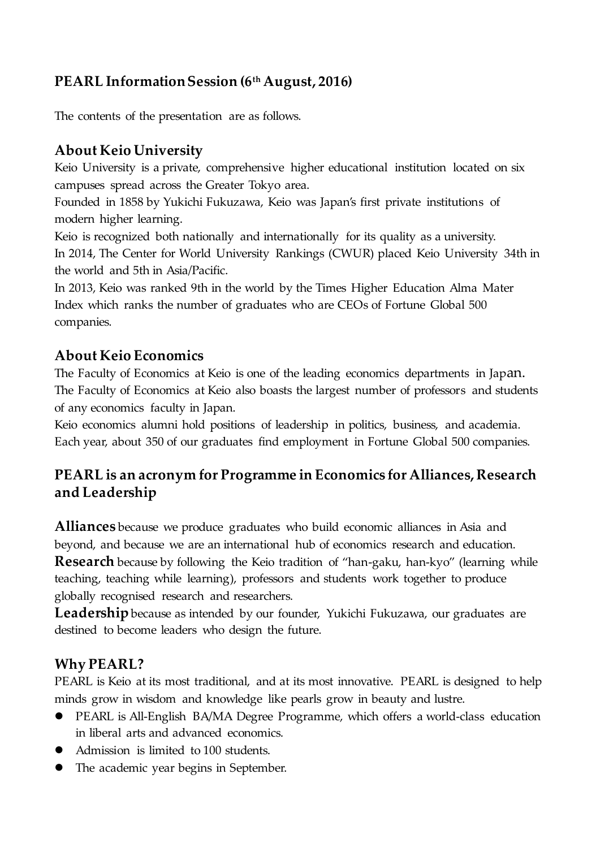## **PEARL Information Session (6th August, 2016)**

The contents of the presentation are as follows.

## **About Keio University**

Keio University is a private, comprehensive higher educational institution located on six campuses spread across the Greater Tokyo area.

Founded in 1858 by Yukichi Fukuzawa, Keio was Japan's first private institutions of modern higher learning.

Keio is recognized both nationally and internationally for its quality as a university. In 2014, The Center for World University Rankings (CWUR) placed Keio University 34th in the world and 5th in Asia/Pacific.

In 2013, Keio was ranked 9th in the world by the Times Higher Education Alma Mater Index which ranks the number of graduates who are CEOs of Fortune Global 500 companies.

### **About Keio Economics**

The Faculty of Economics at Keio is one of the leading economics departments in Japan. The Faculty of Economics at Keio also boasts the largest number of professors and students of any economics faculty in Japan.

Keio economics alumni hold positions of leadership in politics, business, and academia. Each year, about 350 of our graduates find employment in Fortune Global 500 companies.

# **PEARL is an acronym for Programme in Economics for Alliances, Research and Leadership**

**Alliances** because we produce graduates who build economic alliances in Asia and beyond, and because we are an international hub of economics research and education. **Research** because by following the Keio tradition of "han-gaku, han-kyo" (learning while teaching, teaching while learning), professors and students work together to produce globally recognised research and researchers.

Leadership because as intended by our founder, Yukichi Fukuzawa, our graduates are destined to become leaders who design the future.

## **Why PEARL?**

PEARL is Keio at its most traditional, and at its most innovative. PEARL is designed to help minds grow in wisdom and knowledge like pearls grow in beauty and lustre.

- PEARL is All-English BA/MA Degree Programme, which offers a world-class education in liberal arts and advanced economics.
- Admission is limited to 100 students.
- The academic year begins in September.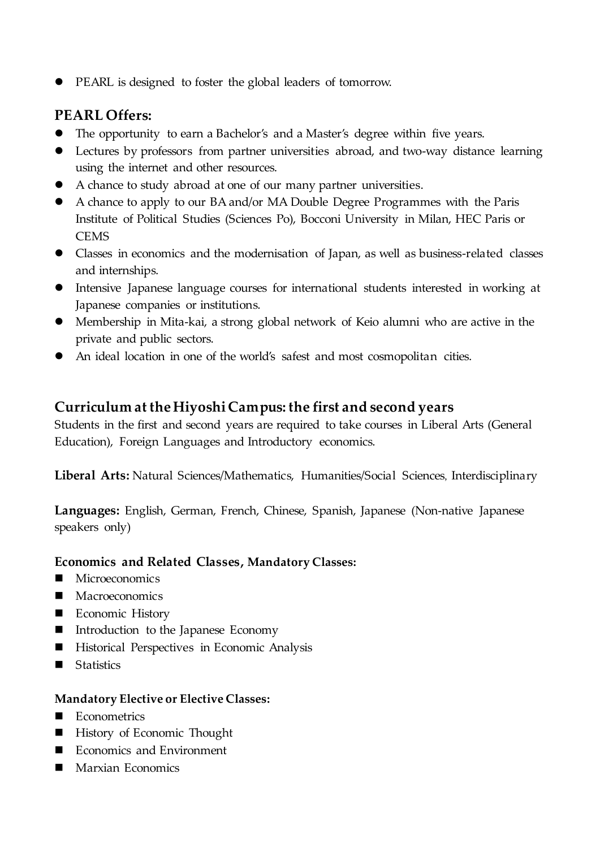PEARL is designed to foster the global leaders of tomorrow.

### **PEARL Offers:**

- The opportunity to earn a Bachelor's and a Master's degree within five years.
- Lectures by professors from partner universities abroad, and two-way distance learning using the internet and other resources.
- A chance to study abroad at one of our many partner universities.
- A chance to apply to our BA and/or MA Double Degree Programmes with the Paris Institute of Political Studies (Sciences Po), Bocconi University in Milan, HEC Paris or **CEMS**
- Classes in economics and the modernisation of Japan, as well as business-related classes and internships.
- Intensive Japanese language courses for international students interested in working at Japanese companies or institutions.
- Membership in Mita-kai, a strong global network of Keio alumni who are active in the private and public sectors.
- An ideal location in one of the world's safest and most cosmopolitan cities.

### **Curriculum at the Hiyoshi Campus: the first and second years**

Students in the first and second years are required to take courses in Liberal Arts (General Education), Foreign Languages and Introductory economics.

**Liberal Arts:** Natural Sciences/Mathematics, Humanities/Social Sciences, Interdisciplinary

**Languages:** English, German, French, Chinese, Spanish, Japanese (Non-native Japanese speakers only)

#### **Economics and Related Classes, Mandatory Classes:**

- **Microeconomics**
- **Macroeconomics**
- Economic History
- Introduction to the Japanese Economy
- Historical Perspectives in Economic Analysis
- Statistics

#### **Mandatory Elective or Elective Classes:**

- **Exercise** Econometrics
- History of Economic Thought
- Economics and Environment
- Marxian Economics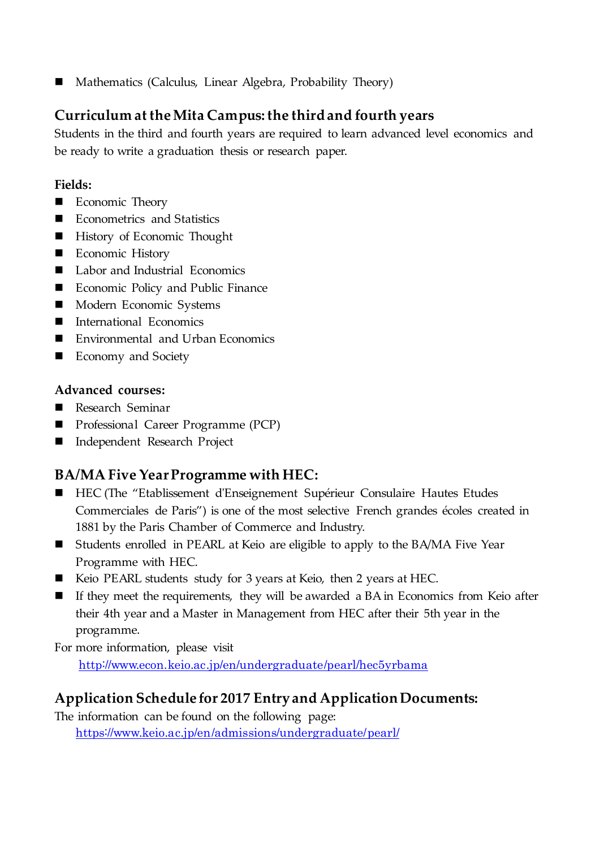Mathematics (Calculus, Linear Algebra, Probability Theory)

## **Curriculum at the Mita Campus: the third and fourth years**

Students in the third and fourth years are required to learn advanced level economics and be ready to write a graduation thesis or research paper.

#### **Fields:**

- Economic Theory
- Econometrics and Statistics
- **History of Economic Thought**
- **Economic History**
- Labor and Industrial Economics
- **Exercise** Economic Policy and Public Finance
- **Modern Economic Systems**
- **International Economics**
- Environmental and Urban Economics
- Economy and Society

#### **Advanced courses:**

- Research Seminar
- **Professional Career Programme (PCP)**
- Independent Research Project

## **BA/MA Five Year Programme with HEC:**

- HEC (The "Etablissement d'Enseignement Supérieur Consulaire Hautes Etudes Commerciales de Paris") is one of the most selective French grandes écoles created in 1881 by the Paris Chamber of Commerce and Industry.
- Students enrolled in PEARL at Keio are eligible to apply to the BA/MA Five Year Programme with HEC.
- Keio PEARL students study for 3 years at Keio, then 2 years at HEC.
- If they meet the requirements, they will be awarded a BA in Economics from Keio after their 4th year and a Master in Management from HEC after their 5th year in the programme.

For more information, please visit http://www.econ.keio.ac.jp/en/undergraduate/pearl/hec5yrbama

## **Application Schedule for 2017 Entry and Application Documents:**

The information can be found on the following page:

<https://www.keio.ac.jp/en/admissions/undergraduate/pearl/>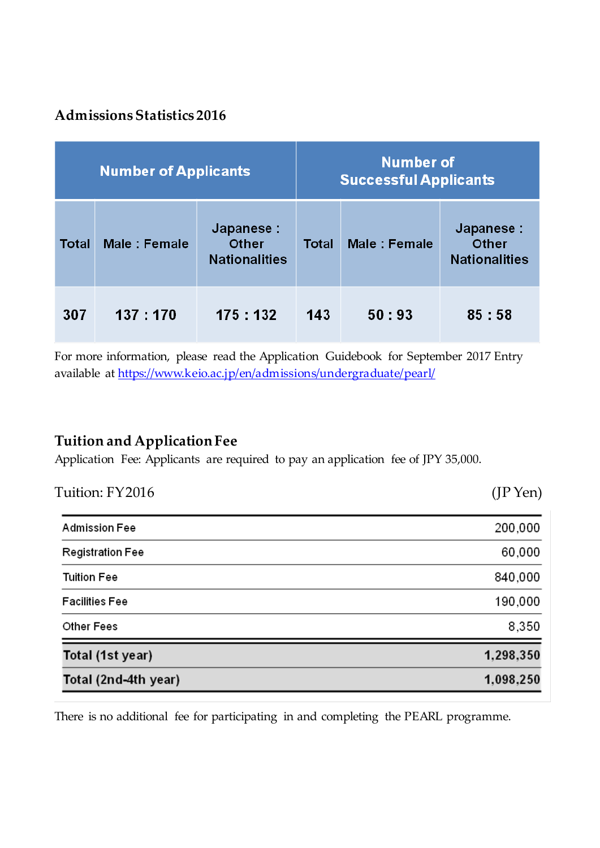# **Admissions Statistics 2016**

| <b>Number of Applicants</b> |              |                                             | <b>Number of</b><br><b>Successful Applicants</b> |              |                                             |
|-----------------------------|--------------|---------------------------------------------|--------------------------------------------------|--------------|---------------------------------------------|
| <b>Total</b>                | Male: Female | Japanese :<br>Other<br><b>Nationalities</b> | <b>Total</b>                                     | Male: Female | Japanese :<br>Other<br><b>Nationalities</b> |
| 307                         | 137:170      | 175 : 132                                   | 143                                              | 50:93        | 85:58                                       |

For more information, please read the Application Guidebook for September 2017 Entry available at <https://www.keio.ac.jp/en/admissions/undergraduate/pearl/>

# **Tuition and Application Fee**

Application Fee: Applicants are required to pay an application fee of JPY 35,000.

| Total (2nd-4th year)    | 1,098,250  |
|-------------------------|------------|
| Total (1st year)        | 1,298,350  |
| Other Fees              | 8,350      |
| <b>Facilities Fee</b>   | 190,000    |
| <b>Tuition Fee</b>      | 840,000    |
| <b>Registration Fee</b> | 60,000     |
| <b>Admission Fee</b>    | 200,000    |
| Tuition: FY2016         | $(JP$ Yen) |

There is no additional fee for participating in and completing the PEARL programme.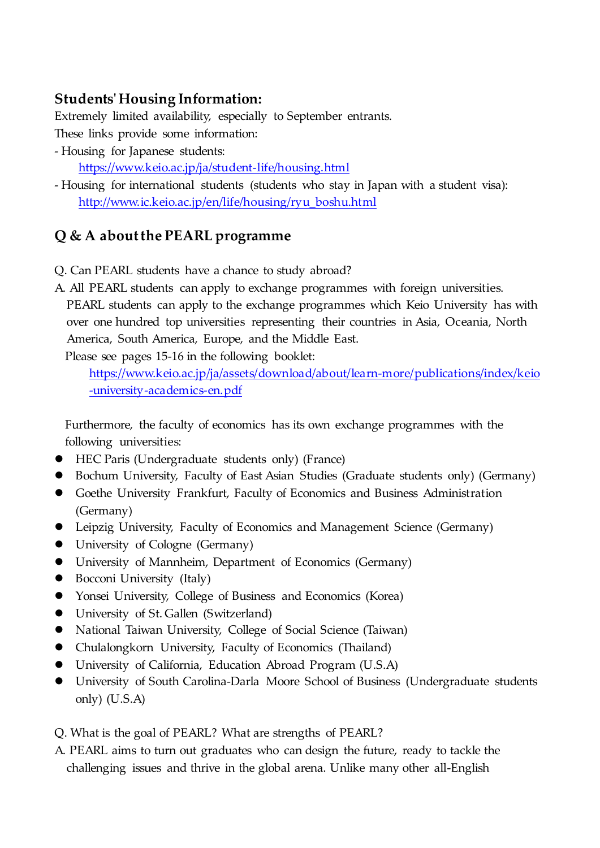## **Students' Housing Information:**

Extremely limited availability, especially to September entrants.

These links provide some information:

- Housing for Japanese students:

<https://www.keio.ac.jp/ja/student-life/housing.html>

- Housing for international students (students who stay in Japan with a student visa): [http://www.ic.keio.ac.jp/en/life/housing/ryu\\_boshu.html](http://www.ic.keio.ac.jp/en/life/housing/ryu_boshu.html)

## **Q & A about the PEARL programme**

- Q. Can PEARL students have a chance to study abroad?
- A. All PEARL students can apply to exchange programmes with foreign universities. PEARL students can apply to the exchange programmes which Keio University has with over one hundred top universities representing their countries in Asia, Oceania, North America, South America, Europe, and the Middle East.

Please see pages 15-16 in the following booklet:

[https://www.keio.ac.jp/ja/assets/download/about/learn-more/publications/index/keio](https://www.keio.ac.jp/ja/assets/download/about/learn-more/publications/index/keio-university-academics-en.pdf) [-university-academics-en.pdf](https://www.keio.ac.jp/ja/assets/download/about/learn-more/publications/index/keio-university-academics-en.pdf)

Furthermore, the faculty of economics has its own exchange programmes with the following universities:

- HEC Paris (Undergraduate students only) (France)
- Bochum University, Faculty of East Asian Studies (Graduate students only) (Germany)
- Goethe University Frankfurt, Faculty of Economics and Business Administration (Germany)
- Leipzig University, Faculty of Economics and Management Science (Germany)
- University of Cologne (Germany)
- University of Mannheim, Department of Economics (Germany)
- Bocconi University (Italy)
- Yonsei University, College of Business and Economics (Korea)
- University of St. Gallen (Switzerland)
- National Taiwan University, College of Social Science (Taiwan)
- Chulalongkorn University, Faculty of Economics (Thailand)
- University of California, Education Abroad Program (U.S.A)
- University of South Carolina-Darla Moore School of Business (Undergraduate students only) (U.S.A)
- Q. What is the goal of PEARL? What are strengths of PEARL?
- A. PEARL aims to turn out graduates who can design the future, ready to tackle the challenging issues and thrive in the global arena. Unlike many other all-English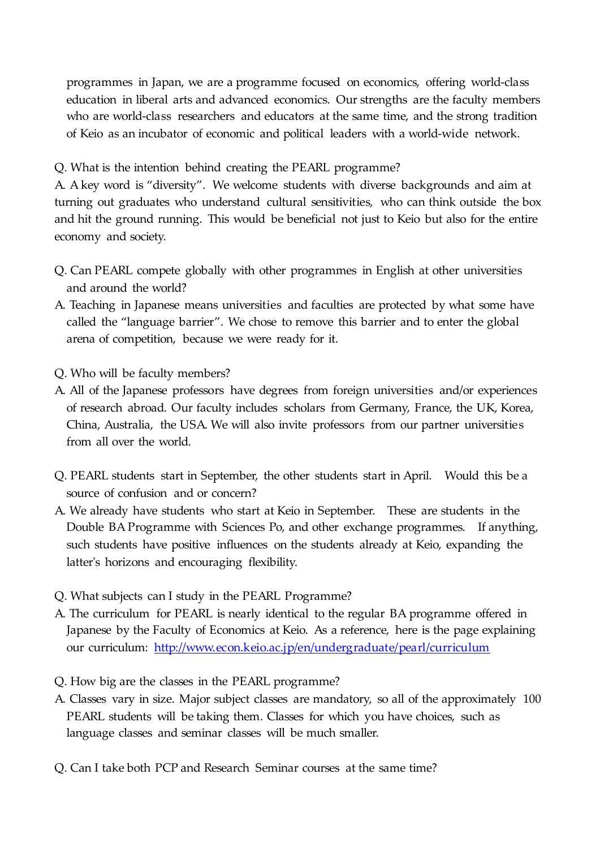programmes in Japan, we are a programme focused on economics, offering world-class education in liberal arts and advanced economics. Our strengths are the faculty members who are world-class researchers and educators at the same time, and the strong tradition of Keio as an incubator of economic and political leaders with a world-wide network.

Q. What is the intention behind creating the PEARL programme?

A. A key word is "diversity". We welcome students with diverse backgrounds and aim at turning out graduates who understand cultural sensitivities, who can think outside the box and hit the ground running. This would be beneficial not just to Keio but also for the entire economy and society.

- Q. Can PEARL compete globally with other programmes in English at other universities and around the world?
- A. Teaching in Japanese means universities and faculties are protected by what some have called the "language barrier". We chose to remove this barrier and to enter the global arena of competition, because we were ready for it.
- Q. Who will be faculty members?
- A. All of the Japanese professors have degrees from foreign universities and/or experiences of research abroad. Our faculty includes scholars from Germany, France, the UK, Korea, China, Australia, the USA. We will also invite professors from our partner universities from all over the world.
- Q. PEARL students start in September, the other students start in April. Would this be a source of confusion and or concern?
- A. We already have students who start at Keio in September. These are students in the Double BA Programme with Sciences Po, and other exchange programmes. If anything, such students have positive influences on the students already at Keio, expanding the latter's horizons and encouraging flexibility.
- Q. What subjects can I study in the PEARL Programme?
- A. The curriculum for PEARL is nearly identical to the regular BA programme offered in Japanese by the Faculty of Economics at Keio. As a reference, here is the page explaining our curriculum: <http://www.econ.keio.ac.jp/en/undergraduate/pearl/curriculum>
- Q. How big are the classes in the PEARL programme?
- A. Classes vary in size. Major subject classes are mandatory, so all of the approximately 100 PEARL students will be taking them. Classes for which you have choices, such as language classes and seminar classes will be much smaller.
- Q. Can I take both PCP and Research Seminar courses at the same time?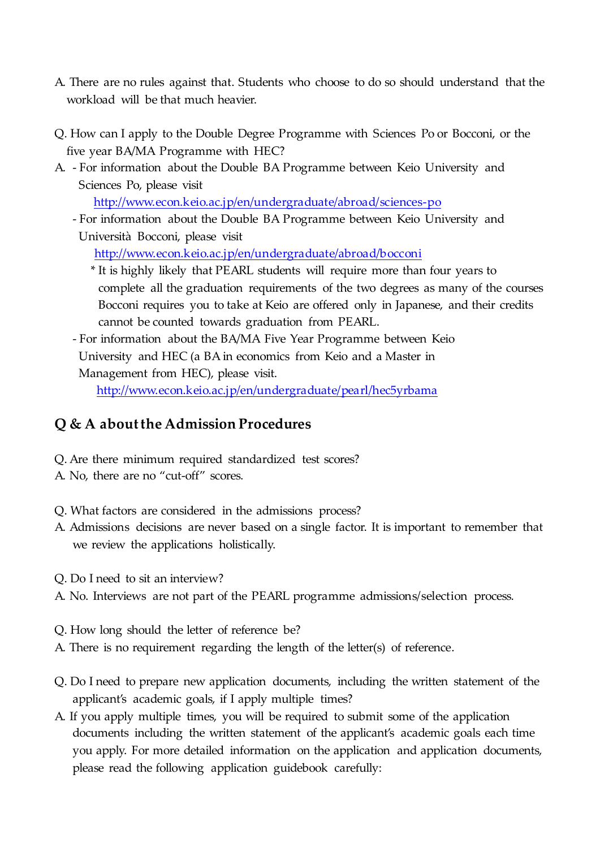- A. There are no rules against that. Students who choose to do so should understand that the workload will be that much heavier.
- Q. How can I apply to the Double Degree Programme with Sciences Po or Bocconi, or the five year BA/MA Programme with HEC?
- A. For information about the Double BA Programme between Keio University and Sciences Po, please visit

<http://www.econ.keio.ac.jp/en/undergraduate/abroad/sciences-po>

- For information about the Double BA Programme between Keio University and Università Bocconi, please visit

<http://www.econ.keio.ac.jp/en/undergraduate/abroad/bocconi>

 \* It is highly likely that PEARL students will require more than four years to complete all the graduation requirements of the two degrees as many of the courses Bocconi requires you to take at Keio are offered only in Japanese, and their credits cannot be counted towards graduation from PEARL.

- For information about the BA/MA Five Year Programme between Keio University and HEC (a BA in economics from Keio and a Master in Management from HEC), please visit.

<http://www.econ.keio.ac.jp/en/undergraduate/pearl/hec5yrbama>

# **Q & A about the Admission Procedures**

- Q. Are there minimum required standardized test scores?
- A. No, there are no "cut-off" scores.
- Q. What factors are considered in the admissions process?
- A. Admissions decisions are never based on a single factor. It is important to remember that we review the applications holistically.
- Q. Do I need to sit an interview?
- A. No. Interviews are not part of the PEARL programme admissions/selection process.
- Q. How long should the letter of reference be?
- A. There is no requirement regarding the length of the letter(s) of reference.
- Q. Do I need to prepare new application documents, including the written statement of the applicant's academic goals, if I apply multiple times?
- A. If you apply multiple times, you will be required to submit some of the application documents including the written statement of the applicant's academic goals each time you apply. For more detailed information on the application and application documents, please read the following application guidebook carefully: